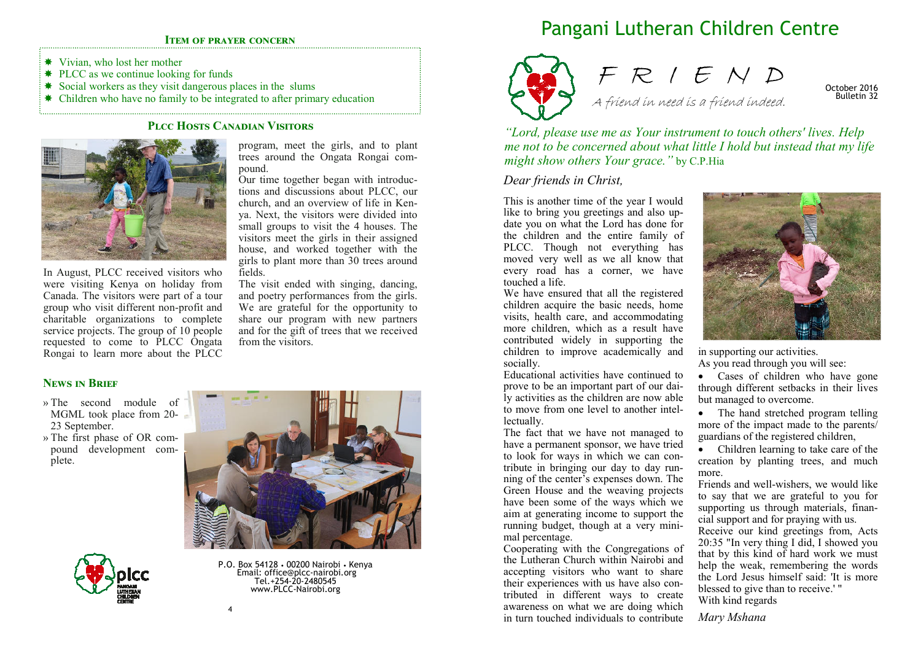#### **ITEM OF PRAYER CONCERN**

- Vivian, who lost her mother
- **★ PLCC** as we continue looking for funds
- \* Social workers as they visit dangerous places in the slums
- \* Children who have no family to be integrated to after primary education

### PLCC HOSTS CANADIAN VISITORS



In August, PLCC received visitors who were visiting Kenya on holiday from Canada. The visitors were part of a tour group who visit different non-profit and charitable organizations to complete service projects. The group of 10 people requested to come to PLCC Ongata Rongai to learn more about the PLCC program, meet the girls, and to plant trees around the Ongata Rongai compound.

 Our time together began with introductions and discussions about PLCC, our church, and an overview of life in Kenya. Next, the visitors were divided into small groups to visit the 4 houses. The visitors meet the girls in their assigned house, and worked together with the girls to plant more than 30 trees around fields.

 The visit ended with singing, dancing, and poetry performances from the girls. We are grateful for the opportunity to share our program with new partners and for the gift of trees that we received from the visitors.

## **NEWS IN BRIEF**

- » The second module of MGML took place from 20-23 September.
- » The first phase of OR compound development complete.



P.O. Box 54128 • 00200 Nairobi • Kenya Email: office@plcc-nairobi.org Tel.+254-20-2480545 www.PLCC-Nairobi.org

# Pangani Lutheran Children Centre



F R I E N D A friend in need is a friend indeed.

October 2016 Bulletin 32

*"Lord, please use me as Your instrument to touch others' lives. Help me not to be concerned about what little I hold but instead that my life might show others Your grace."* by C.P.Hia

## *Dear friends in Christ,*

This is another time of the year I would like to bring you greetings and also update you on what the Lord has done for the children and the entire family of PLCC. Though not everything has moved very well as we all know that every road has a corner, we have touched a life.

 We have ensured that all the registered children acquire the basic needs, home visits, health care, and accommodating more children, which as a result have contributed widely in supporting the children to improve academically and socially.

 Educational activities have continued to prove to be an important part of our daily activities as the children are now able to move from one level to another intellectually.

 The fact that we have not managed to have a permanent sponsor, we have tried to look for ways in which we can contribute in bringing our day to day running of the center's expenses down. The Green House and the weaving projects have been some of the ways which we aim at generating income to support the running budget, though at a very minimal percentage.

 Cooperating with the Congregations of the Lutheran Church within Nairobi and accepting visitors who want to share their experiences with us have also contributed in different ways to create awareness on what we are doing which in turn touched individuals to contribute



in supporting our activities. As you read through you will see:

• Cases of children who have gone through different setbacks in their lives but managed to overcome.

• The hand stretched program telling more of the impact made to the parents/guardians of the registered children,

 • Children learning to take care of the creation by planting trees, and much more.

 Friends and well-wishers, we would like to say that we are grateful to you for supporting us through materials, financial support and for praying with us.

 Receive our kind greetings from, Acts 20:35 "In very thing I did, I showed you that by this kind of hard work we must help the weak, remembering the words the Lord Jesus himself said: 'It is more blessed to give than to receive.' " With kind regards

*Mary Mshana*